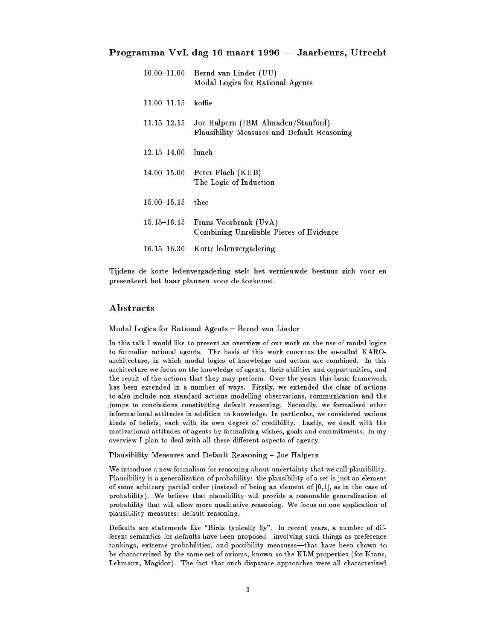## Programma VvL dag 16 maart 1996 — Jaarbeurs, Utrecht

| $10.00\hbox{--}11.00$  | Bernd van Linder (UU)<br>Modal Logics for Rational Agents                         |
|------------------------|-----------------------------------------------------------------------------------|
| $11.00 - 11.15$ koffie |                                                                                   |
| 11.15–12.15            | Joe Halpern (IBM Almaden/Stanford)<br>Plausibility Measures and Default Reasoning |
| $12.15 - 14.00$        | lunch.                                                                            |
| $14.00 - 15.00$        | Peter Flach (KUB)<br>The Logic of Induction                                       |
| $15.00 - 15.15$        | thee                                                                              |
| $15.15 - 16.15$        | Frans Voorbraak (UvA)<br>Combining Unreliable Pieces of Evidence                  |
| $16.15 - 16.30$        | Korte ledenvergadering                                                            |

Tijdens de korte ledenvergadering stelt het vernieuwde bestuur zich voor en presenteert het haar plannen voor de toekomst.

## Abstracts

Modal Logics for Rational Agents - Bernd van Linder

In this talk I would like to present an overview of our work on the use of modal logics to formalise rational agents. The basis of this work concerns the so-called KAROarchitecture, in which modal logics of knowledge and action are combined. In this architecture we focus on the knowledge of agents, their abilities and opportunities, and the result of the actions that they may perform. Over the years this basic framework has been extended in a number of ways. Firstly, we extended the class of actions to also include non-standard actions modelling observations, communication and the jumps to conclusions constituting default reasoning. Secondly, we formalised other informational attitudes in addition to knowledge. In particular, we considered various kinds of beliefs, each with its own degree of credibility. Lastly, we dealt with the motivational attitudes of agents by formalising wishes, goals and commitments. In my overview I plan to deal with all these different aspects of agency.

Plausibility Measures and Default Reasoning - Joe Halpern

We introduce a new formalism for reasoning about uncertainty that we call plausibility. Plausibility is a generalization of probability: the plausibility of a set is just an element of some arbitrary partial order (instead of being an element of [0,1], as in the case of probability). We believe that plausibility will provide a reasonable generalization of probability that will allow more qualitative reasoning. We focus on one application of plausibility measures: default reasoning.

Defaults are statements like "Birds typically fly". In recent years, a number of different semantics for defaults have been proposed-involving such things as preference rankings, extreme probabilities, and possibility measures—that have been shown to be characterized by the same set of axioms, known as the KLM properties (for Kraus, Lehmann, Magidor). The fact that such disparate approaches were all characterized